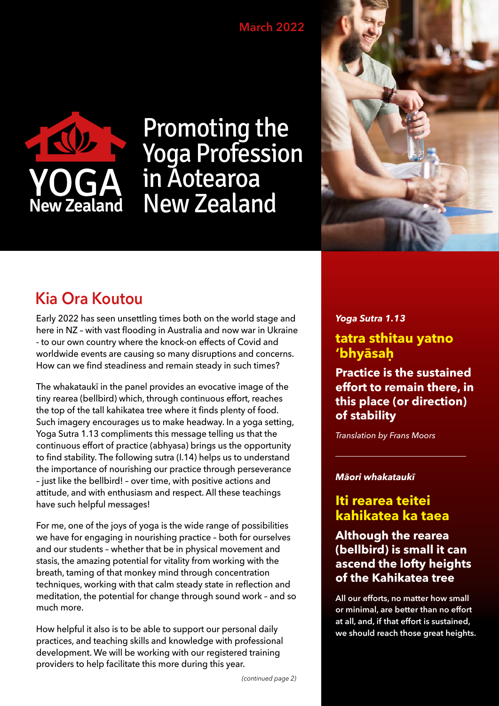### **March 2022**



# Promoting the Yoga Profession in Aotearoa New Zealand



# **Kia Ora Koutou**

Early 2022 has seen unsettling times both on the world stage and here in NZ – with vast flooding in Australia and now war in Ukraine - to our own country where the knock-on effects of Covid and worldwide events are causing so many disruptions and concerns. How can we find steadiness and remain steady in such times?

The whakataukī in the panel provides an evocative image of the tiny rearea (bellbird) which, through continuous effort, reaches the top of the tall kahikatea tree where it finds plenty of food. Such imagery encourages us to make headway. In a yoga setting, Yoga Sutra 1.13 compliments this message telling us that the continuous effort of practice (abhyasa) brings us the opportunity to find stability. The following sutra (I.14) helps us to understand the importance of nourishing our practice through perseverance – just like the bellbird! – over time, with positive actions and attitude, and with enthusiasm and respect. All these teachings have such helpful messages!

For me, one of the joys of yoga is the wide range of possibilities we have for engaging in nourishing practice – both for ourselves and our students – whether that be in physical movement and stasis, the amazing potential for vitality from working with the breath, taming of that monkey mind through concentration techniques, working with that calm steady state in reflection and meditation, the potential for change through sound work – and so much more.

How helpful it also is to be able to support our personal daily practices, and teaching skills and knowledge with professional development. We will be working with our registered training providers to help facilitate this more during this year.

*Yoga Sutra 1.13*

### **tatra sthitau yatno 'bhyāsaḥ**

**Practice is the sustained effort to remain there, in this place (or direction) of stability**

*Translation by Frans Moors* 

#### *Māori whakataukī*

# **Iti rearea teitei kahikatea ka taea**

### **Although the rearea (bellbird) is small it can ascend the lofty heights of the Kahikatea tree**

**All our efforts, no matter how small or minimal, are better than no effort at all, and, if that effort is sustained, we should reach those great heights.**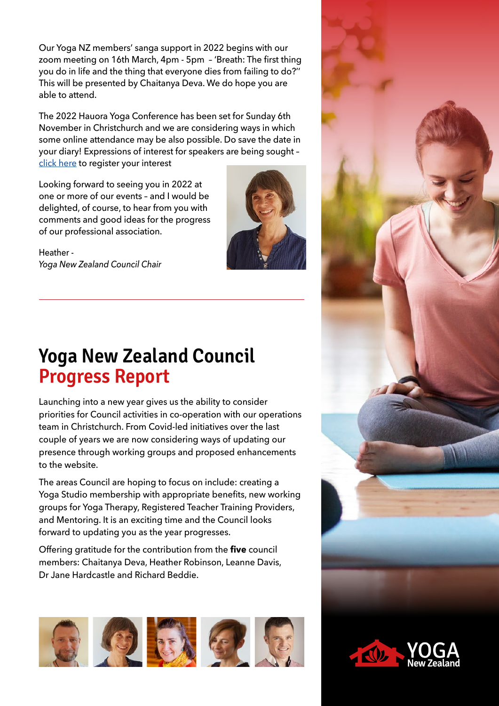Our Yoga NZ members' sanga support in 2022 begins with our zoom meeting on 16th March, 4pm - 5pm – 'Breath: The first thing you do in life and the thing that everyone dies from failing to do?'' This will be presented by Chaitanya Deva. We do hope you are able to attend.

The 2022 Hauora Yoga Conference has been set for Sunday 6th November in Christchurch and we are considering ways in which some online attendance may be also possible. Do save the date in your diary! Expressions of interest for speakers are being sought – [click here](https://www.hauorayoga.org.nz/eoi/) to register your interest

Looking forward to seeing you in 2022 at one or more of our events – and I would be delighted, of course, to hear from you with comments and good ideas for the progress of our professional association.





# **Yoga New Zealand Council Progress Report**

Launching into a new year gives us the ability to consider priorities for Council activities in co-operation with our operations team in Christchurch. From Covid-led initiatives over the last couple of years we are now considering ways of updating our presence through working groups and proposed enhancements to the website.

The areas Council are hoping to focus on include: creating a Yoga Studio membership with appropriate benefits, new working groups for Yoga Therapy, Registered Teacher Training Providers, and Mentoring. It is an exciting time and the Council looks forward to updating you as the year progresses.

Offering gratitude for the contribution from the **five** council members: Chaitanya Deva, Heather Robinson, Leanne Davis, Dr Jane Hardcastle and Richard Beddie.